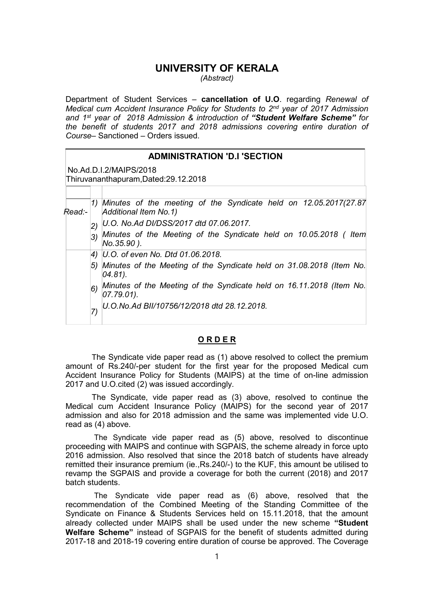# UNIVERSITY OF KERALA

(Abstract)

Department of Student Services – cancellation of U.O. regarding Renewal of Medical cum Accident Insurance Policy for Students to 2nd year of 2017 Admission and 1<sup>st</sup> year of 2018 Admission & introduction of "Student Welfare Scheme" for the benefit of students 2017 and 2018 admissions covering entire duration of Course– Sanctioned – Orders issued.

## ADMINISTRATION 'D.I 'SECTION

No.Ad.D.I.2/MAIPS/2018

Thiruvananthapuram,Dated:29.12.2018

| Read:-                                                                               |                                                                                       | 1) Minutes of the meeting of the Syndicate held on 12.05.2017(27.87)<br>Additional Item No. 1) |  |
|--------------------------------------------------------------------------------------|---------------------------------------------------------------------------------------|------------------------------------------------------------------------------------------------|--|
|                                                                                      | (2)                                                                                   | U.O. No.Ad DI/DSS/2017 dtd 07.06.2017.                                                         |  |
|                                                                                      | Minutes of the Meeting of the Syndicate held on 10.05.2018 ( Item<br>3)<br>No.35.90). |                                                                                                |  |
|                                                                                      |                                                                                       | 4) U.O. of even No. Dtd 01.06.2018.                                                            |  |
| 5) Minutes of the Meeting of the Syndicate held on 31.08.2018 (Item No.<br>$04.81$ . |                                                                                       |                                                                                                |  |
|                                                                                      | 6)                                                                                    | Minutes of the Meeting of the Syndicate held on 16.11.2018 (Item No.<br>$[07.79.01]$ .         |  |
|                                                                                      |                                                                                       | U.O.No.Ad BII/10756/12/2018 dtd 28.12.2018.                                                    |  |

### **ORDER**

The Syndicate vide paper read as (1) above resolved to collect the premium amount of Rs.240/-per student for the first year for the proposed Medical cum Accident Insurance Policy for Students (MAIPS) at the time of on-line admission 2017 and U.O.cited (2) was issued accordingly.

The Syndicate, vide paper read as (3) above, resolved to continue the Medical cum Accident Insurance Policy (MAIPS) for the second year of 2017 admission and also for 2018 admission and the same was implemented vide U.O. read as (4) above.

The Syndicate vide paper read as (5) above, resolved to discontinue proceeding with MAIPS and continue with SGPAIS, the scheme already in force upto 2016 admission. Also resolved that since the 2018 batch of students have already remitted their insurance premium (ie.,Rs.240/-) to the KUF, this amount be utilised to revamp the SGPAIS and provide a coverage for both the current (2018) and 2017 batch students.

The Syndicate vide paper read as (6) above, resolved that the recommendation of the Combined Meeting of the Standing Committee of the Syndicate on Finance & Students Services held on 15.11.2018, that the amount already collected under MAIPS shall be used under the new scheme "Student Welfare Scheme" instead of SGPAIS for the benefit of students admitted during 2017-18 and 2018-19 covering entire duration of course be approved. The Coverage